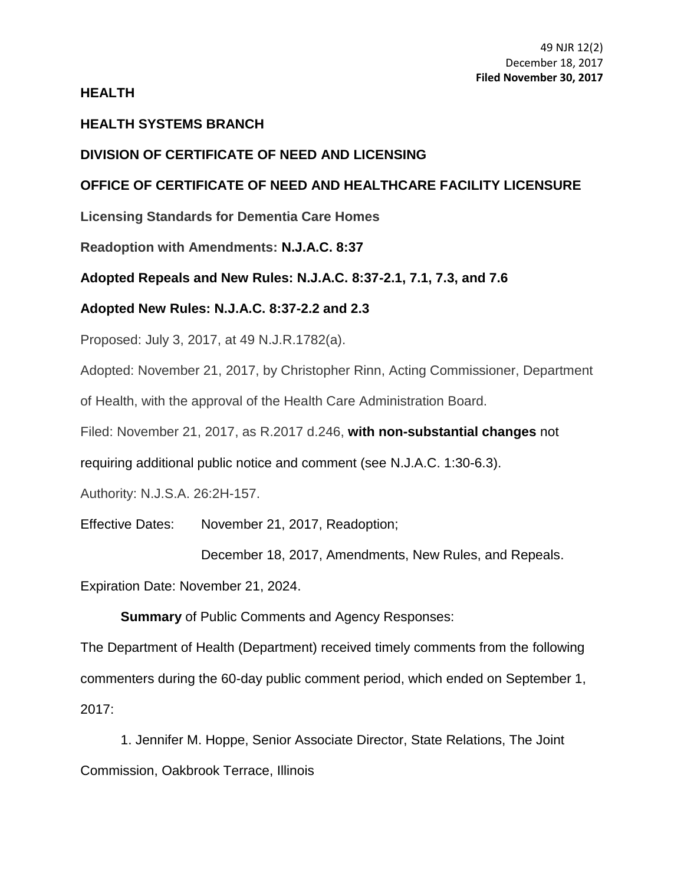## **HEALTH**

# **HEALTH SYSTEMS BRANCH**

# **DIVISION OF CERTIFICATE OF NEED AND LICENSING**

# **OFFICE OF CERTIFICATE OF NEED AND HEALTHCARE FACILITY LICENSURE**

**Licensing Standards for Dementia Care Homes**

**Readoption with Amendments: N.J.A.C. 8:37**

# **Adopted Repeals and New Rules: N.J.A.C. 8:37-2.1, [7.1,](https://web.lexisnexis.com/research/buttonTFLink?_m=f29fc9ca2f80152ab67a3c2d812162f1&_xfercite=%3ccite%20cc%3d%22USA%22%3e%3c%21%5bCDATA%5b49%20N.J.R.1782%28a%29%5d%5d%3e%3c%2fcite%3e&_butType=4&_butStat=0&_butNum=3&_butInline=1&_butinfo=NJ%20ADMIN%208%3a37-7.1&_fmtstr=FULL&docnum=7&_startdoc=1&wchp=dGLzVzt-zSkAz&_md5=093b4ebfca3c8266308925527d3a73e2) [7.3,](https://web.lexisnexis.com/research/buttonTFLink?_m=f29fc9ca2f80152ab67a3c2d812162f1&_xfercite=%3ccite%20cc%3d%22USA%22%3e%3c%21%5bCDATA%5b49%20N.J.R.1782%28a%29%5d%5d%3e%3c%2fcite%3e&_butType=4&_butStat=0&_butNum=4&_butInline=1&_butinfo=NJ%20ADMIN%208%3a37-7.3&_fmtstr=FULL&docnum=7&_startdoc=1&wchp=dGLzVzt-zSkAz&_md5=ac7545bd19a857e594668eed34c0e6fa) and [7.6](https://web.lexisnexis.com/research/buttonTFLink?_m=f29fc9ca2f80152ab67a3c2d812162f1&_xfercite=%3ccite%20cc%3d%22USA%22%3e%3c%21%5bCDATA%5b49%20N.J.R.1782%28a%29%5d%5d%3e%3c%2fcite%3e&_butType=4&_butStat=0&_butNum=5&_butInline=1&_butinfo=NJ%20ADMIN%208%3a37-7.6&_fmtstr=FULL&docnum=7&_startdoc=1&wchp=dGLzVzt-zSkAz&_md5=92480dbcd052ae0b8aeb8997a378914c)**

# **Adopted New Rules: N.J.A.C. 8:37-2.2 and [2.3](https://web.lexisnexis.com/research/buttonTFLink?_m=f29fc9ca2f80152ab67a3c2d812162f1&_xfercite=%3ccite%20cc%3d%22USA%22%3e%3c%21%5bCDATA%5b49%20N.J.R.1782%28a%29%5d%5d%3e%3c%2fcite%3e&_butType=4&_butStat=0&_butNum=7&_butInline=1&_butinfo=NJ%20ADMIN%208%3a37-2.3&_fmtstr=FULL&docnum=7&_startdoc=1&wchp=dGLzVzt-zSkAz&_md5=55495ed712829a88be5868e9a1b9405a)**

Proposed: July 3, 2017, at 49 N.J.R.1782(a).

Adopted: November 21, 2017, by Christopher Rinn, Acting Commissioner, Department

of Health, with the approval of the Health Care Administration Board.

Filed: November 21, 2017, as R.2017 d.246, **with non-substantial changes** not

requiring additional public notice and comment (see [N.J.A.C. 1:30-6.3\)](https://web.lexisnexis.com/research/buttonTFLink?_m=30b216b00466c29f48f002103c5164ee&_xfercite=%3ccite%20cc%3d%22USA%22%3e%3c%21%5bCDATA%5b47%20N.J.R.%202063%28a%29%5d%5d%3e%3c%2fcite%3e&_butType=4&_butStat=0&_butNum=5&_butInline=1&_butinfo=NJ%20ADMIN%201%3a30-6.3&_fmtstr=FULL&docnum=5&_startdoc=1&wchp=dGLzVzt-zSkAb&_md5=7dd89c594fca18998be0a66ea0fb63d2).

Authority: N.J.S.A. 26:2H-157.

Effective Dates: November 21, 2017, Readoption;

December 18, 2017, Amendments, New Rules, and Repeals.

Expiration Date: November 21, 2024.

**Summary** of Public Comments and Agency Responses:

The Department of Health (Department) received timely comments from the following commenters during the 60-day public comment period, which ended on September 1, 2017:

1. Jennifer M. Hoppe, Senior Associate Director, State Relations, The Joint Commission, Oakbrook Terrace, Illinois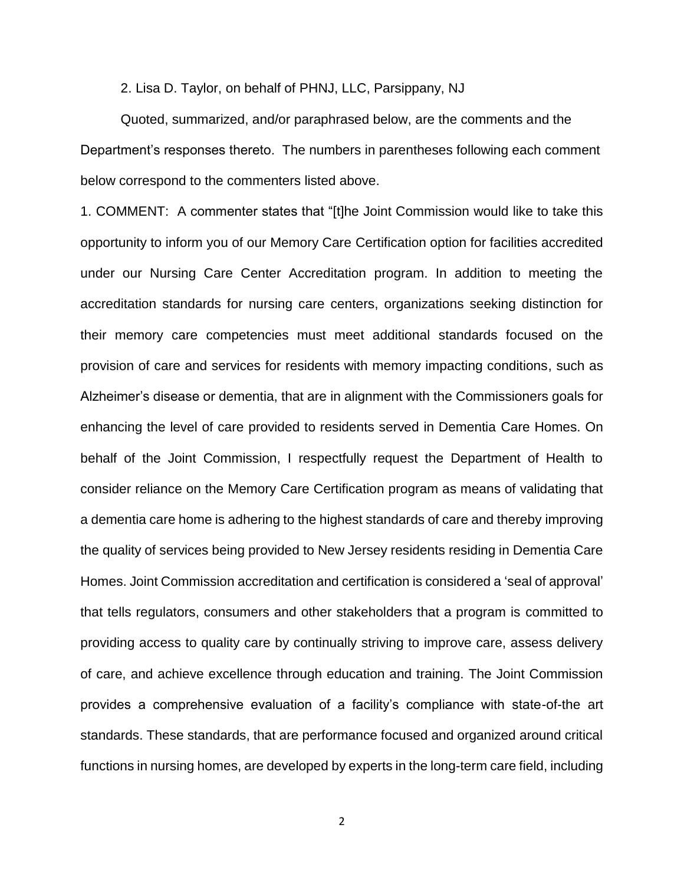2. Lisa D. Taylor, on behalf of PHNJ, LLC, Parsippany, NJ

Quoted, summarized, and/or paraphrased below, are the comments and the Department's responses thereto. The numbers in parentheses following each comment below correspond to the commenters listed above.

1. COMMENT: A commenter states that "[t]he Joint Commission would like to take this opportunity to inform you of our Memory Care Certification option for facilities accredited under our Nursing Care Center Accreditation program. In addition to meeting the accreditation standards for nursing care centers, organizations seeking distinction for their memory care competencies must meet additional standards focused on the provision of care and services for residents with memory impacting conditions, such as Alzheimer's disease or dementia, that are in alignment with the Commissioners goals for enhancing the level of care provided to residents served in Dementia Care Homes. On behalf of the Joint Commission, I respectfully request the Department of Health to consider reliance on the Memory Care Certification program as means of validating that a dementia care home is adhering to the highest standards of care and thereby improving the quality of services being provided to New Jersey residents residing in Dementia Care Homes. Joint Commission accreditation and certification is considered a 'seal of approval' that tells regulators, consumers and other stakeholders that a program is committed to providing access to quality care by continually striving to improve care, assess delivery of care, and achieve excellence through education and training. The Joint Commission provides a comprehensive evaluation of a facility's compliance with state-of-the art standards. These standards, that are performance focused and organized around critical functions in nursing homes, are developed by experts in the long-term care field, including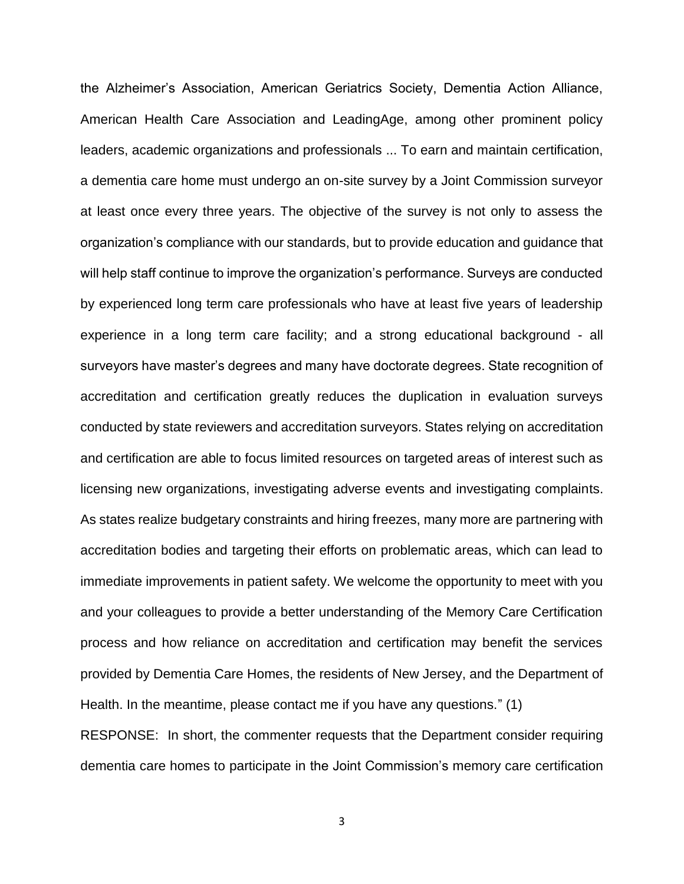the Alzheimer's Association, American Geriatrics Society, Dementia Action Alliance, American Health Care Association and LeadingAge, among other prominent policy leaders, academic organizations and professionals ... To earn and maintain certification, a dementia care home must undergo an on-site survey by a Joint Commission surveyor at least once every three years. The objective of the survey is not only to assess the organization's compliance with our standards, but to provide education and guidance that will help staff continue to improve the organization's performance. Surveys are conducted by experienced long term care professionals who have at least five years of leadership experience in a long term care facility; and a strong educational background - all surveyors have master's degrees and many have doctorate degrees. State recognition of accreditation and certification greatly reduces the duplication in evaluation surveys conducted by state reviewers and accreditation surveyors. States relying on accreditation and certification are able to focus limited resources on targeted areas of interest such as licensing new organizations, investigating adverse events and investigating complaints. As states realize budgetary constraints and hiring freezes, many more are partnering with accreditation bodies and targeting their efforts on problematic areas, which can lead to immediate improvements in patient safety. We welcome the opportunity to meet with you and your colleagues to provide a better understanding of the Memory Care Certification process and how reliance on accreditation and certification may benefit the services provided by Dementia Care Homes, the residents of New Jersey, and the Department of Health. In the meantime, please contact me if you have any questions." (1) RESPONSE: In short, the commenter requests that the Department consider requiring dementia care homes to participate in the Joint Commission's memory care certification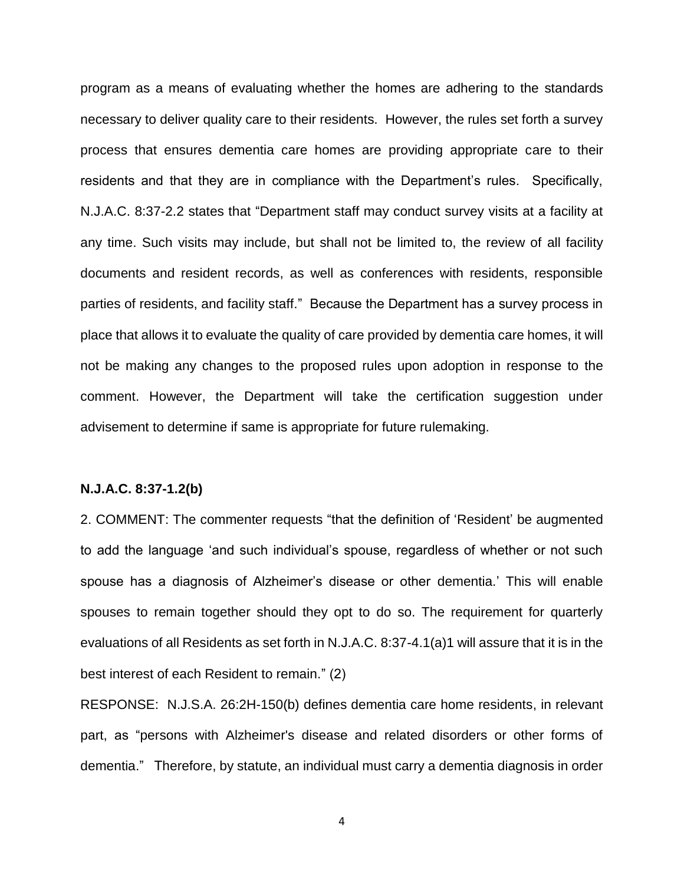program as a means of evaluating whether the homes are adhering to the standards necessary to deliver quality care to their residents. However, the rules set forth a survey process that ensures dementia care homes are providing appropriate care to their residents and that they are in compliance with the Department's rules. Specifically, N.J.A.C. 8:37-2.2 states that "Department staff may conduct survey visits at a facility at any time. Such visits may include, but shall not be limited to, the review of all facility documents and resident records, as well as conferences with residents, responsible parties of residents, and facility staff." Because the Department has a survey process in place that allows it to evaluate the quality of care provided by dementia care homes, it will not be making any changes to the proposed rules upon adoption in response to the comment. However, the Department will take the certification suggestion under advisement to determine if same is appropriate for future rulemaking.

### **N.J.A.C. 8:37-1.2(b)**

2. COMMENT: The commenter requests "that the definition of 'Resident' be augmented to add the language 'and such individual's spouse, regardless of whether or not such spouse has a diagnosis of Alzheimer's disease or other dementia.' This will enable spouses to remain together should they opt to do so. The requirement for quarterly evaluations of all Residents as set forth in N.J.A.C. 8:37-4.1(a)1 will assure that it is in the best interest of each Resident to remain." (2)

RESPONSE: N.J.S.A. 26:2H-150(b) defines dementia care home residents, in relevant part, as "persons with Alzheimer's disease and related disorders or other forms of dementia." Therefore, by statute, an individual must carry a dementia diagnosis in order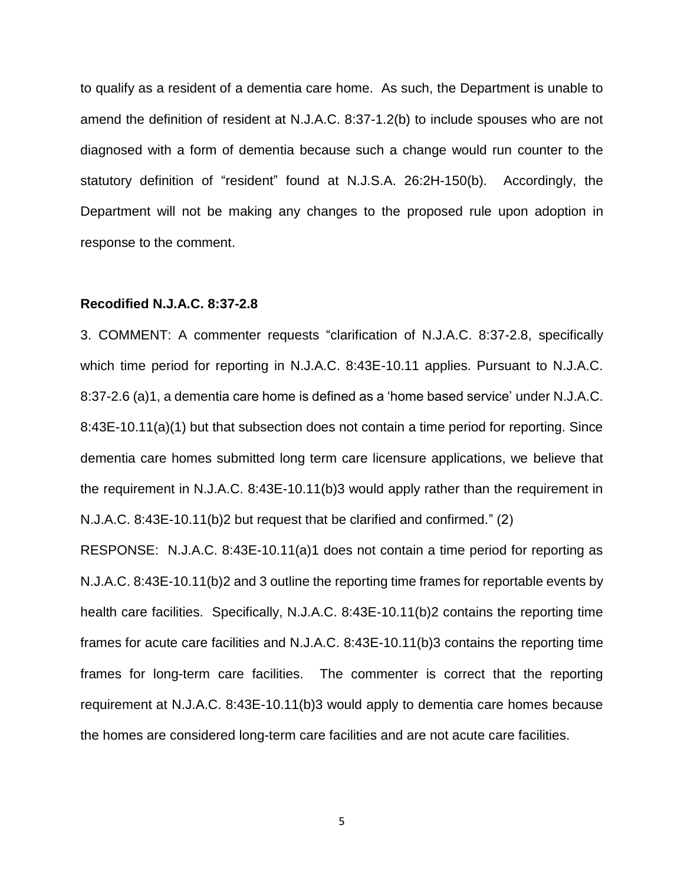to qualify as a resident of a dementia care home. As such, the Department is unable to amend the definition of resident at N.J.A.C. 8:37-1.2(b) to include spouses who are not diagnosed with a form of dementia because such a change would run counter to the statutory definition of "resident" found at N.J.S.A. 26:2H-150(b). Accordingly, the Department will not be making any changes to the proposed rule upon adoption in response to the comment.

#### **Recodified N.J.A.C. 8:37-2.8**

3. COMMENT: A commenter requests "clarification of N.J.A.C. 8:37-2.8, specifically which time period for reporting in N.J.A.C. 8:43E-10.11 applies. Pursuant to N.J.A.C. 8:37-2.6 (a)1, a dementia care home is defined as a 'home based service' under N.J.A.C. 8:43E-10.11(a)(1) but that subsection does not contain a time period for reporting. Since dementia care homes submitted long term care licensure applications, we believe that the requirement in N.J.A.C. 8:43E-10.11(b)3 would apply rather than the requirement in N.J.A.C. 8:43E-10.11(b)2 but request that be clarified and confirmed." (2)

RESPONSE: N.J.A.C. 8:43E-10.11(a)1 does not contain a time period for reporting as N.J.A.C. 8:43E-10.11(b)2 and 3 outline the reporting time frames for reportable events by health care facilities. Specifically, N.J.A.C. 8:43E-10.11(b)2 contains the reporting time frames for acute care facilities and N.J.A.C. 8:43E-10.11(b)3 contains the reporting time frames for long-term care facilities. The commenter is correct that the reporting requirement at N.J.A.C. 8:43E-10.11(b)3 would apply to dementia care homes because the homes are considered long-term care facilities and are not acute care facilities.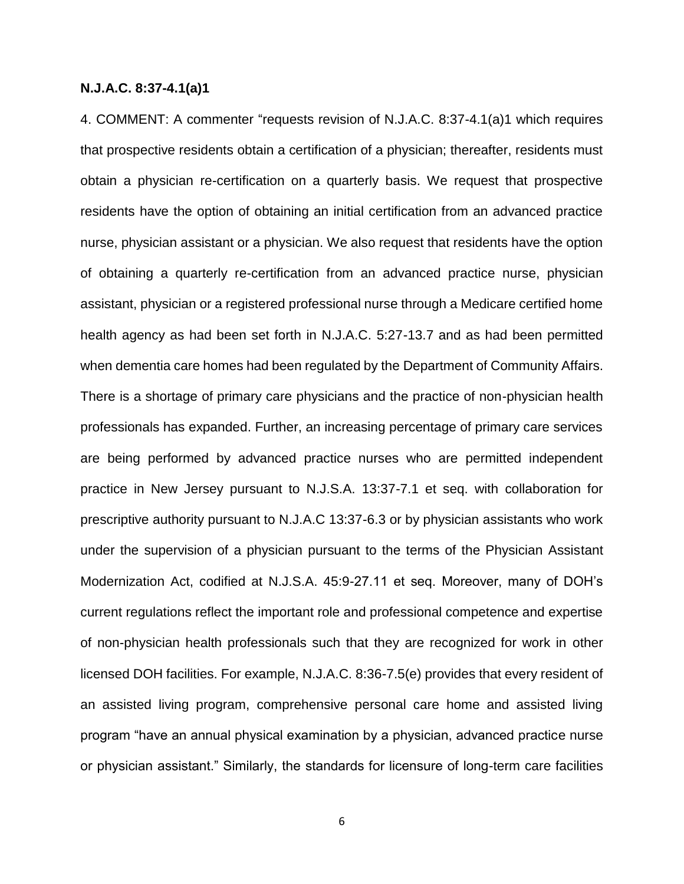### **N.J.A.C. 8:37-4.1(a)1**

4. COMMENT: A commenter "requests revision of N.J.A.C. 8:37-4.1(a)1 which requires that prospective residents obtain a certification of a physician; thereafter, residents must obtain a physician re-certification on a quarterly basis. We request that prospective residents have the option of obtaining an initial certification from an advanced practice nurse, physician assistant or a physician. We also request that residents have the option of obtaining a quarterly re-certification from an advanced practice nurse, physician assistant, physician or a registered professional nurse through a Medicare certified home health agency as had been set forth in N.J.A.C. 5:27-13.7 and as had been permitted when dementia care homes had been regulated by the Department of Community Affairs. There is a shortage of primary care physicians and the practice of non-physician health professionals has expanded. Further, an increasing percentage of primary care services are being performed by advanced practice nurses who are permitted independent practice in New Jersey pursuant to N.J.S.A. 13:37-7.1 et seq. with collaboration for prescriptive authority pursuant to N.J.A.C 13:37-6.3 or by physician assistants who work under the supervision of a physician pursuant to the terms of the Physician Assistant Modernization Act, codified at N.J.S.A. 45:9-27.11 et seq. Moreover, many of DOH's current regulations reflect the important role and professional competence and expertise of non-physician health professionals such that they are recognized for work in other licensed DOH facilities. For example, N.J.A.C. 8:36-7.5(e) provides that every resident of an assisted living program, comprehensive personal care home and assisted living program "have an annual physical examination by a physician, advanced practice nurse or physician assistant." Similarly, the standards for licensure of long-term care facilities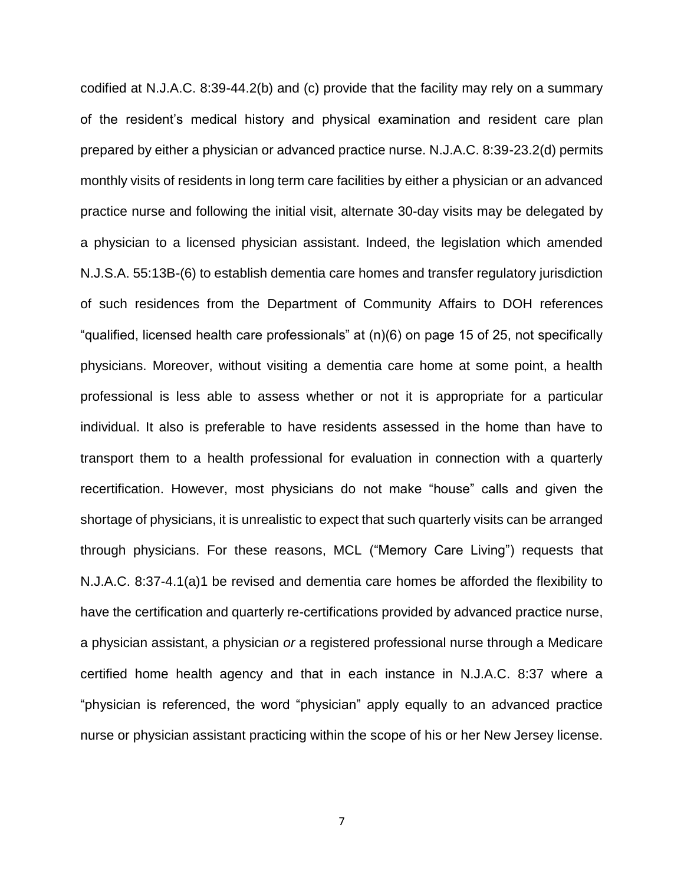codified at N.J.A.C. 8:39-44.2(b) and (c) provide that the facility may rely on a summary of the resident's medical history and physical examination and resident care plan prepared by either a physician or advanced practice nurse. N.J.A.C. 8:39-23.2(d) permits monthly visits of residents in long term care facilities by either a physician or an advanced practice nurse and following the initial visit, alternate 30-day visits may be delegated by a physician to a licensed physician assistant. Indeed, the legislation which amended N.J.S.A. 55:13B-(6) to establish dementia care homes and transfer regulatory jurisdiction of such residences from the Department of Community Affairs to DOH references "qualified, licensed health care professionals" at (n)(6) on page 15 of 25, not specifically physicians. Moreover, without visiting a dementia care home at some point, a health professional is less able to assess whether or not it is appropriate for a particular individual. It also is preferable to have residents assessed in the home than have to transport them to a health professional for evaluation in connection with a quarterly recertification. However, most physicians do not make "house" calls and given the shortage of physicians, it is unrealistic to expect that such quarterly visits can be arranged through physicians. For these reasons, MCL ("Memory Care Living") requests that N.J.A.C. 8:37-4.1(a)1 be revised and dementia care homes be afforded the flexibility to have the certification and quarterly re-certifications provided by advanced practice nurse, a physician assistant, a physician *or* a registered professional nurse through a Medicare certified home health agency and that in each instance in N.J.A.C. 8:37 where a "physician is referenced, the word "physician" apply equally to an advanced practice nurse or physician assistant practicing within the scope of his or her New Jersey license.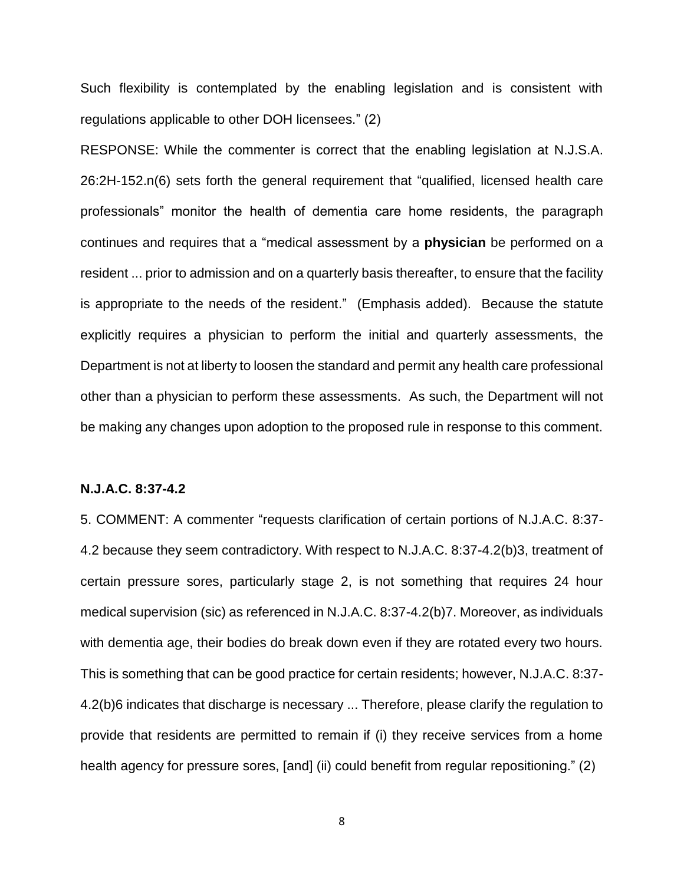Such flexibility is contemplated by the enabling legislation and is consistent with regulations applicable to other DOH licensees." (2)

RESPONSE: While the commenter is correct that the enabling legislation at N.J.S.A. 26:2H-152.n(6) sets forth the general requirement that "qualified, licensed health care professionals" monitor the health of dementia care home residents, the paragraph continues and requires that a "medical assessment by a **physician** be performed on a resident ... prior to admission and on a quarterly basis thereafter, to ensure that the facility is appropriate to the needs of the resident." (Emphasis added). Because the statute explicitly requires a physician to perform the initial and quarterly assessments, the Department is not at liberty to loosen the standard and permit any health care professional other than a physician to perform these assessments. As such, the Department will not be making any changes upon adoption to the proposed rule in response to this comment.

### **N.J.A.C. 8:37-4.2**

5. COMMENT: A commenter "requests clarification of certain portions of N.J.A.C. 8:37- 4.2 because they seem contradictory. With respect to N.J.A.C. 8:37-4.2(b)3, treatment of certain pressure sores, particularly stage 2, is not something that requires 24 hour medical supervision (sic) as referenced in N.J.A.C. 8:37-4.2(b)7. Moreover, as individuals with dementia age, their bodies do break down even if they are rotated every two hours. This is something that can be good practice for certain residents; however, N.J.A.C. 8:37- 4.2(b)6 indicates that discharge is necessary ... Therefore, please clarify the regulation to provide that residents are permitted to remain if (i) they receive services from a home health agency for pressure sores, [and] (ii) could benefit from regular repositioning." (2)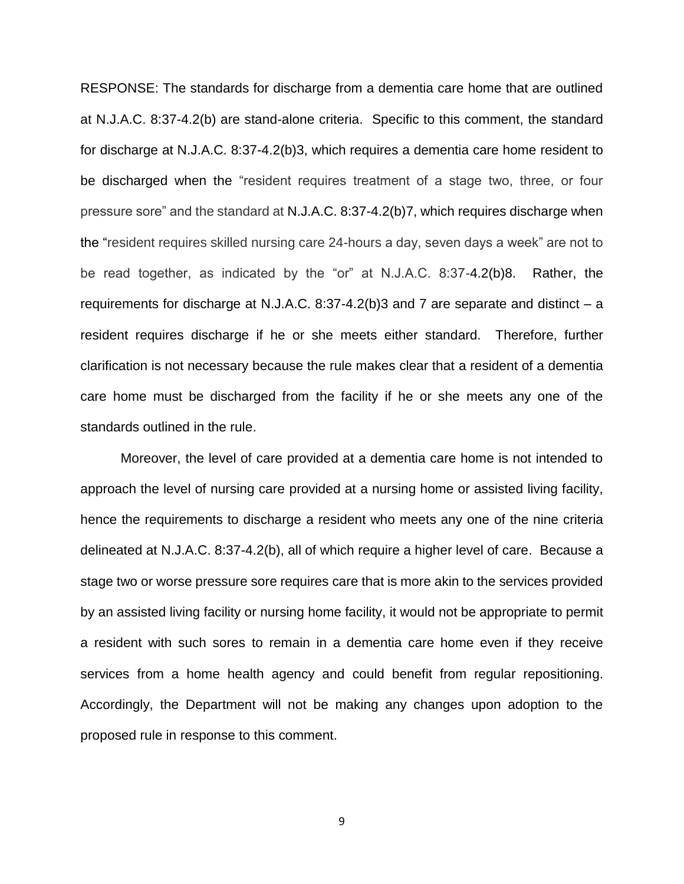RESPONSE: The standards for discharge from a dementia care home that are outlined at N.J.A.C. 8:37-4.2(b) are stand-alone criteria. Specific to this comment, the standard for discharge at N.J.A.C. 8:37-4.2(b)3, which requires a dementia care home resident to be discharged when the "resident requires treatment of a stage two, three, or four pressure sore" and the standard at N.J.A.C. 8:37-4.2(b)7, which requires discharge when the "resident requires skilled nursing care 24-hours a day, seven days a week" are not to be read together, as indicated by the "or" at N.J.A.C. 8:37-4.2(b)8. Rather, the requirements for discharge at N.J.A.C. 8:37-4.2(b)3 and 7 are separate and distinct – a resident requires discharge if he or she meets either standard. Therefore, further clarification is not necessary because the rule makes clear that a resident of a dementia care home must be discharged from the facility if he or she meets any one of the standards outlined in the rule.

Moreover, the level of care provided at a dementia care home is not intended to approach the level of nursing care provided at a nursing home or assisted living facility, hence the requirements to discharge a resident who meets any one of the nine criteria delineated at N.J.A.C. 8:37-4.2(b), all of which require a higher level of care. Because a stage two or worse pressure sore requires care that is more akin to the services provided by an assisted living facility or nursing home facility, it would not be appropriate to permit a resident with such sores to remain in a dementia care home even if they receive services from a home health agency and could benefit from regular repositioning. Accordingly, the Department will not be making any changes upon adoption to the proposed rule in response to this comment.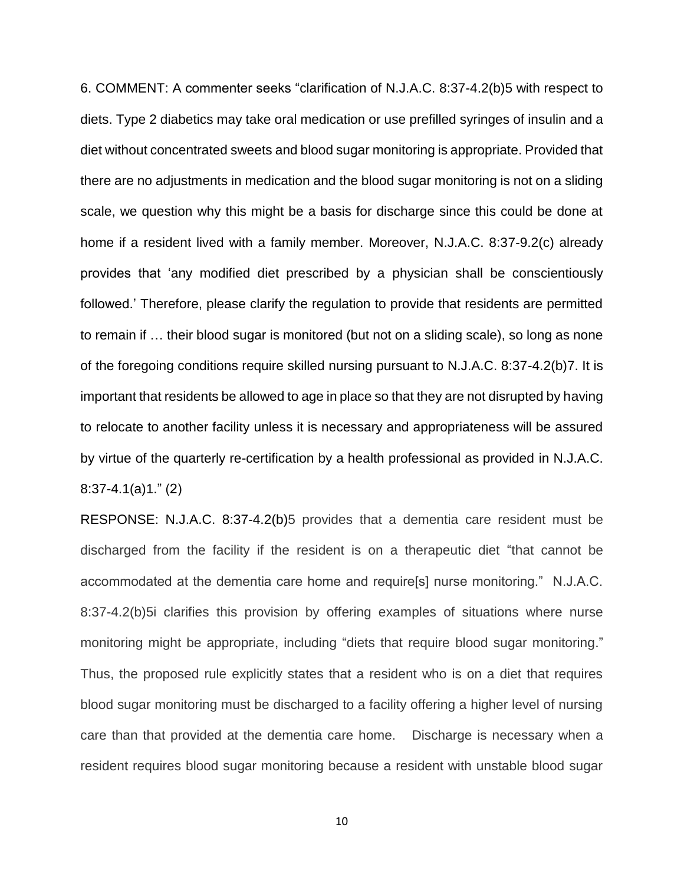6. COMMENT: A commenter seeks "clarification of N.J.A.C. 8:37-4.2(b)5 with respect to diets. Type 2 diabetics may take oral medication or use prefilled syringes of insulin and a diet without concentrated sweets and blood sugar monitoring is appropriate. Provided that there are no adjustments in medication and the blood sugar monitoring is not on a sliding scale, we question why this might be a basis for discharge since this could be done at home if a resident lived with a family member. Moreover, N.J.A.C. 8:37-9.2(c) already provides that 'any modified diet prescribed by a physician shall be conscientiously followed.' Therefore, please clarify the regulation to provide that residents are permitted to remain if … their blood sugar is monitored (but not on a sliding scale), so long as none of the foregoing conditions require skilled nursing pursuant to N.J.A.C. 8:37-4.2(b)7. It is important that residents be allowed to age in place so that they are not disrupted by having to relocate to another facility unless it is necessary and appropriateness will be assured by virtue of the quarterly re-certification by a health professional as provided in N.J.A.C. 8:37-4.1(a)1." (2)

RESPONSE: N.J.A.C. 8:37-4.2(b)5 provides that a dementia care resident must be discharged from the facility if the resident is on a therapeutic diet "that cannot be accommodated at the dementia care home and require[s] nurse monitoring." N.J.A.C. 8:37-4.2(b)5i clarifies this provision by offering examples of situations where nurse monitoring might be appropriate, including "diets that require blood sugar monitoring." Thus, the proposed rule explicitly states that a resident who is on a diet that requires blood sugar monitoring must be discharged to a facility offering a higher level of nursing care than that provided at the dementia care home. Discharge is necessary when a resident requires blood sugar monitoring because a resident with unstable blood sugar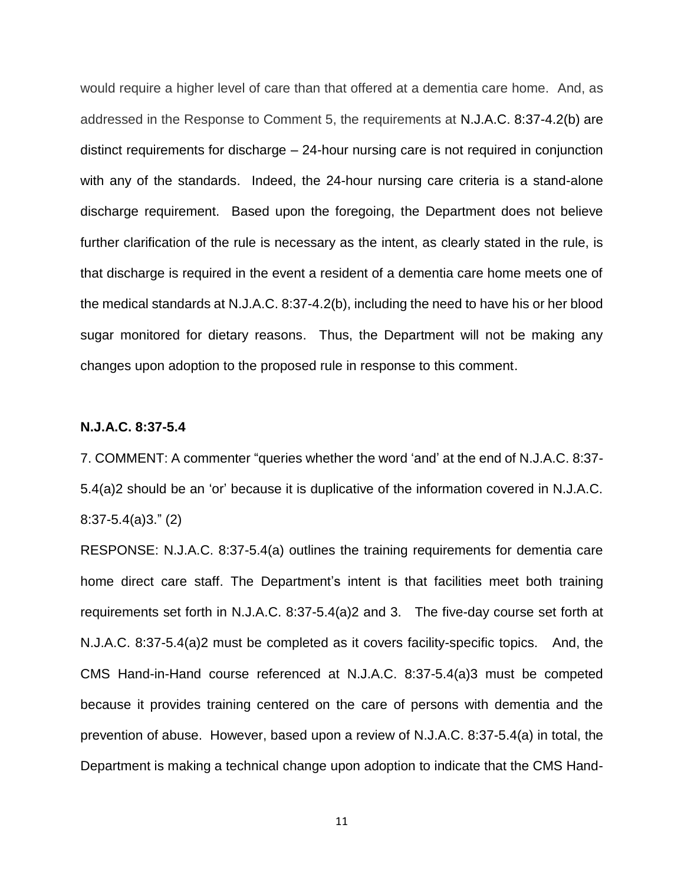would require a higher level of care than that offered at a dementia care home. And, as addressed in the Response to Comment 5, the requirements at N.J.A.C. 8:37-4.2(b) are distinct requirements for discharge – 24-hour nursing care is not required in conjunction with any of the standards. Indeed, the 24-hour nursing care criteria is a stand-alone discharge requirement. Based upon the foregoing, the Department does not believe further clarification of the rule is necessary as the intent, as clearly stated in the rule, is that discharge is required in the event a resident of a dementia care home meets one of the medical standards at N.J.A.C. 8:37-4.2(b), including the need to have his or her blood sugar monitored for dietary reasons. Thus, the Department will not be making any changes upon adoption to the proposed rule in response to this comment.

### **N.J.A.C. 8:37-5.4**

7. COMMENT: A commenter "queries whether the word 'and' at the end of N.J.A.C. 8:37- 5.4(a)2 should be an 'or' because it is duplicative of the information covered in N.J.A.C. 8:37-5.4(a)3." (2)

RESPONSE: N.J.A.C. 8:37-5.4(a) outlines the training requirements for dementia care home direct care staff. The Department's intent is that facilities meet both training requirements set forth in N.J.A.C. 8:37-5.4(a)2 and 3. The five-day course set forth at N.J.A.C. 8:37-5.4(a)2 must be completed as it covers facility-specific topics. And, the CMS Hand-in-Hand course referenced at N.J.A.C. 8:37-5.4(a)3 must be competed because it provides training centered on the care of persons with dementia and the prevention of abuse. However, based upon a review of N.J.A.C. 8:37-5.4(a) in total, the Department is making a technical change upon adoption to indicate that the CMS Hand-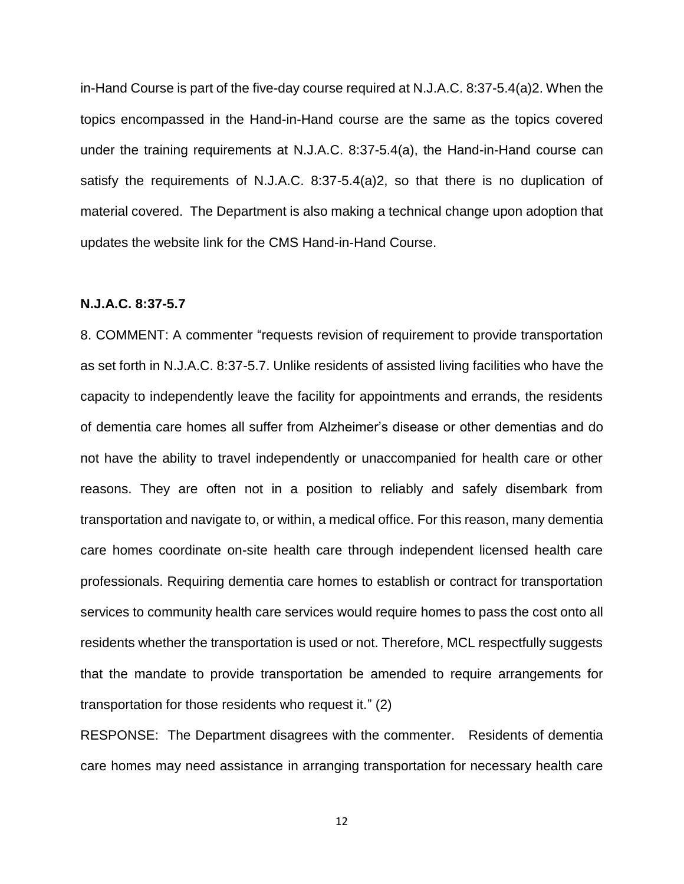in-Hand Course is part of the five-day course required at N.J.A.C. 8:37-5.4(a)2. When the topics encompassed in the Hand-in-Hand course are the same as the topics covered under the training requirements at N.J.A.C. 8:37-5.4(a), the Hand-in-Hand course can satisfy the requirements of N.J.A.C. 8:37-5.4(a)2, so that there is no duplication of material covered. The Department is also making a technical change upon adoption that updates the website link for the CMS Hand-in-Hand Course.

### **N.J.A.C. 8:37-5.7**

8. COMMENT: A commenter "requests revision of requirement to provide transportation as set forth in N.J.A.C. 8:37-5.7. Unlike residents of assisted living facilities who have the capacity to independently leave the facility for appointments and errands, the residents of dementia care homes all suffer from Alzheimer's disease or other dementias and do not have the ability to travel independently or unaccompanied for health care or other reasons. They are often not in a position to reliably and safely disembark from transportation and navigate to, or within, a medical office. For this reason, many dementia care homes coordinate on-site health care through independent licensed health care professionals. Requiring dementia care homes to establish or contract for transportation services to community health care services would require homes to pass the cost onto all residents whether the transportation is used or not. Therefore, MCL respectfully suggests that the mandate to provide transportation be amended to require arrangements for transportation for those residents who request it." (2)

RESPONSE: The Department disagrees with the commenter. Residents of dementia care homes may need assistance in arranging transportation for necessary health care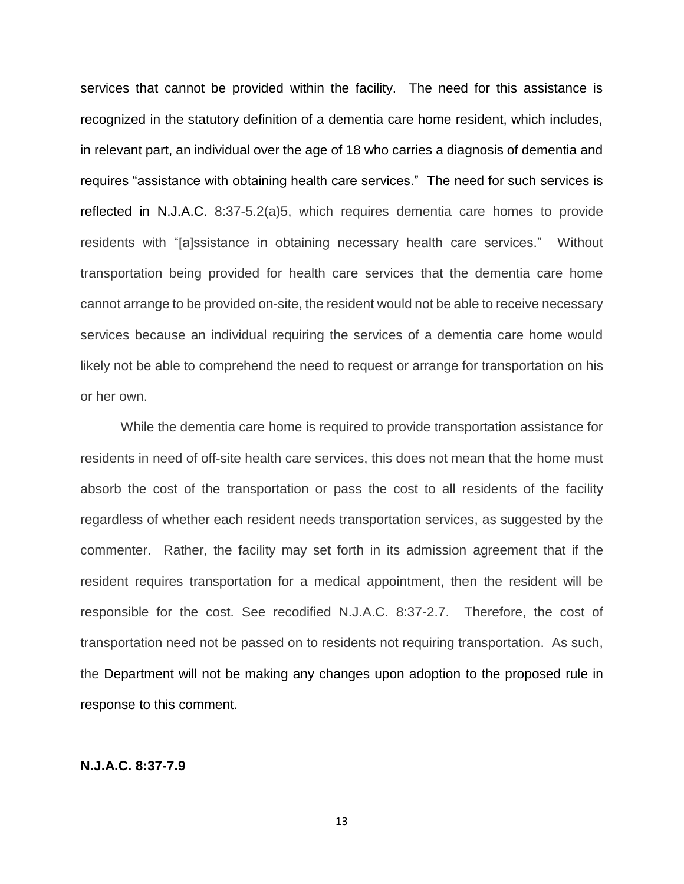services that cannot be provided within the facility. The need for this assistance is recognized in the statutory definition of a dementia care home resident, which includes, in relevant part, an individual over the age of 18 who carries a diagnosis of dementia and requires "assistance with obtaining health care services." The need for such services is reflected in N.J.A.C. 8:37-5.2(a)5, which requires dementia care homes to provide residents with "[a]ssistance in obtaining necessary health care services." Without transportation being provided for health care services that the dementia care home cannot arrange to be provided on-site, the resident would not be able to receive necessary services because an individual requiring the services of a dementia care home would likely not be able to comprehend the need to request or arrange for transportation on his or her own.

While the dementia care home is required to provide transportation assistance for residents in need of off-site health care services, this does not mean that the home must absorb the cost of the transportation or pass the cost to all residents of the facility regardless of whether each resident needs transportation services, as suggested by the commenter. Rather, the facility may set forth in its admission agreement that if the resident requires transportation for a medical appointment, then the resident will be responsible for the cost. See recodified N.J.A.C. 8:37-2.7. Therefore, the cost of transportation need not be passed on to residents not requiring transportation. As such, the Department will not be making any changes upon adoption to the proposed rule in response to this comment.

## **N.J.A.C. 8:37-7.9**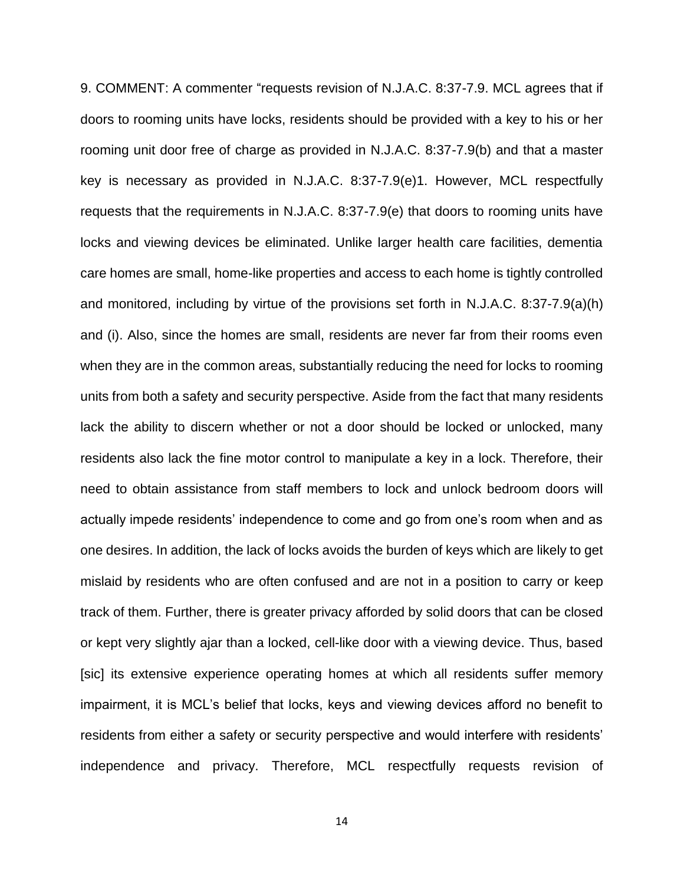9. COMMENT: A commenter "requests revision of N.J.A.C. 8:37-7.9. MCL agrees that if doors to rooming units have locks, residents should be provided with a key to his or her rooming unit door free of charge as provided in N.J.A.C. 8:37-7.9(b) and that a master key is necessary as provided in N.J.A.C. 8:37-7.9(e)1. However, MCL respectfully requests that the requirements in N.J.A.C. 8:37-7.9(e) that doors to rooming units have locks and viewing devices be eliminated. Unlike larger health care facilities, dementia care homes are small, home-like properties and access to each home is tightly controlled and monitored, including by virtue of the provisions set forth in N.J.A.C. 8:37-7.9(a)(h) and (i). Also, since the homes are small, residents are never far from their rooms even when they are in the common areas, substantially reducing the need for locks to rooming units from both a safety and security perspective. Aside from the fact that many residents lack the ability to discern whether or not a door should be locked or unlocked, many residents also lack the fine motor control to manipulate a key in a lock. Therefore, their need to obtain assistance from staff members to lock and unlock bedroom doors will actually impede residents' independence to come and go from one's room when and as one desires. In addition, the lack of locks avoids the burden of keys which are likely to get mislaid by residents who are often confused and are not in a position to carry or keep track of them. Further, there is greater privacy afforded by solid doors that can be closed or kept very slightly ajar than a locked, cell-like door with a viewing device. Thus, based [sic] its extensive experience operating homes at which all residents suffer memory impairment, it is MCL's belief that locks, keys and viewing devices afford no benefit to residents from either a safety or security perspective and would interfere with residents' independence and privacy. Therefore, MCL respectfully requests revision of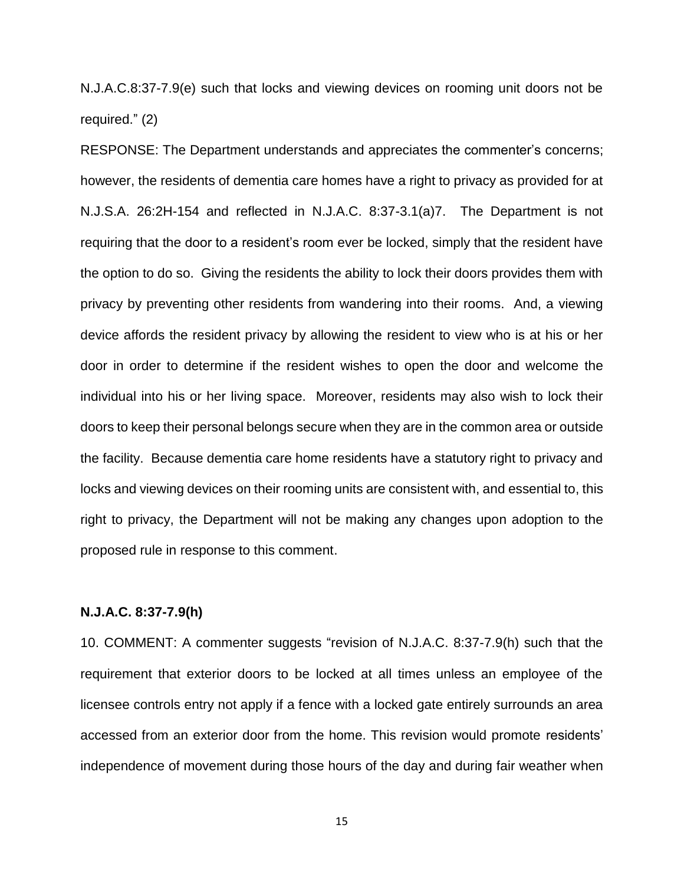N.J.A.C.8:37-7.9(e) such that locks and viewing devices on rooming unit doors not be required." (2)

RESPONSE: The Department understands and appreciates the commenter's concerns; however, the residents of dementia care homes have a right to privacy as provided for at N.J.S.A. 26:2H-154 and reflected in N.J.A.C. 8:37-3.1(a)7. The Department is not requiring that the door to a resident's room ever be locked, simply that the resident have the option to do so. Giving the residents the ability to lock their doors provides them with privacy by preventing other residents from wandering into their rooms. And, a viewing device affords the resident privacy by allowing the resident to view who is at his or her door in order to determine if the resident wishes to open the door and welcome the individual into his or her living space. Moreover, residents may also wish to lock their doors to keep their personal belongs secure when they are in the common area or outside the facility. Because dementia care home residents have a statutory right to privacy and locks and viewing devices on their rooming units are consistent with, and essential to, this right to privacy, the Department will not be making any changes upon adoption to the proposed rule in response to this comment.

### **N.J.A.C. 8:37-7.9(h)**

10. COMMENT: A commenter suggests "revision of N.J.A.C. 8:37-7.9(h) such that the requirement that exterior doors to be locked at all times unless an employee of the licensee controls entry not apply if a fence with a locked gate entirely surrounds an area accessed from an exterior door from the home. This revision would promote residents' independence of movement during those hours of the day and during fair weather when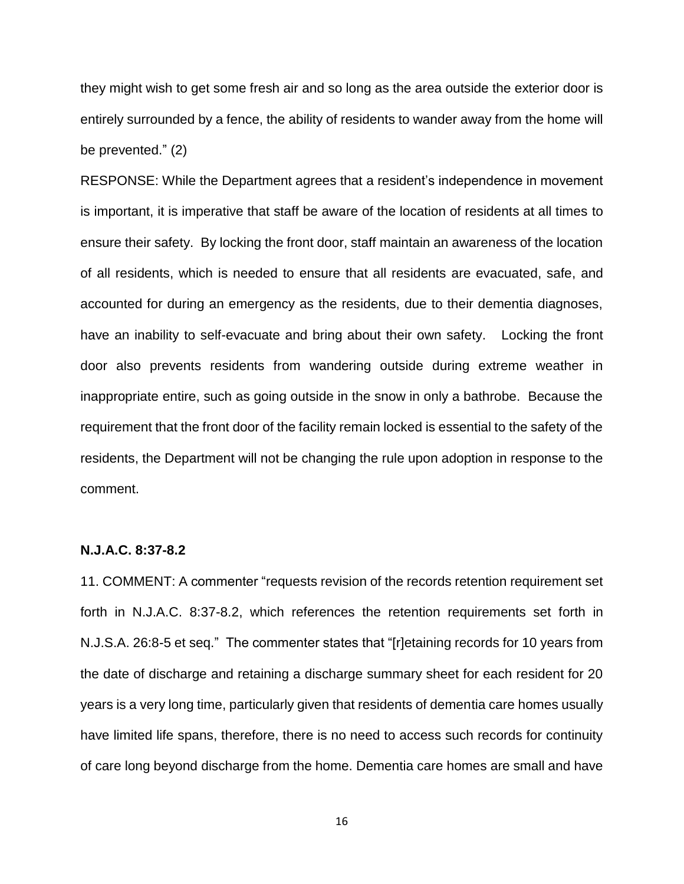they might wish to get some fresh air and so long as the area outside the exterior door is entirely surrounded by a fence, the ability of residents to wander away from the home will be prevented." (2)

RESPONSE: While the Department agrees that a resident's independence in movement is important, it is imperative that staff be aware of the location of residents at all times to ensure their safety. By locking the front door, staff maintain an awareness of the location of all residents, which is needed to ensure that all residents are evacuated, safe, and accounted for during an emergency as the residents, due to their dementia diagnoses, have an inability to self-evacuate and bring about their own safety. Locking the front door also prevents residents from wandering outside during extreme weather in inappropriate entire, such as going outside in the snow in only a bathrobe. Because the requirement that the front door of the facility remain locked is essential to the safety of the residents, the Department will not be changing the rule upon adoption in response to the comment.

### **N.J.A.C. 8:37-8.2**

11. COMMENT: A commenter "requests revision of the records retention requirement set forth in N.J.A.C. 8:37-8.2, which references the retention requirements set forth in N.J.S.A. 26:8-5 et seq." The commenter states that "[r]etaining records for 10 years from the date of discharge and retaining a discharge summary sheet for each resident for 20 years is a very long time, particularly given that residents of dementia care homes usually have limited life spans, therefore, there is no need to access such records for continuity of care long beyond discharge from the home. Dementia care homes are small and have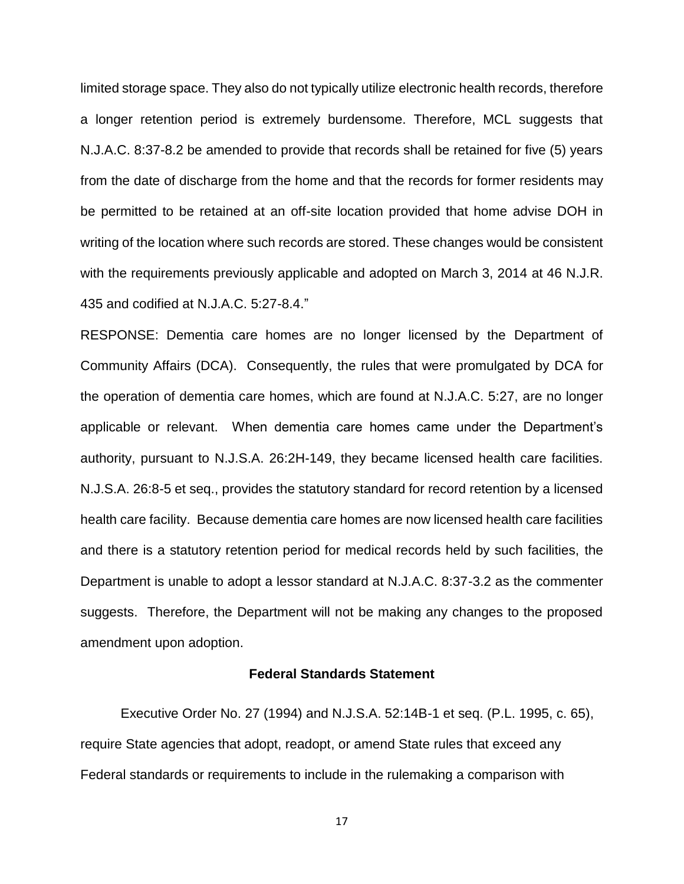limited storage space. They also do not typically utilize electronic health records, therefore a longer retention period is extremely burdensome. Therefore, MCL suggests that N.J.A.C. 8:37-8.2 be amended to provide that records shall be retained for five (5) years from the date of discharge from the home and that the records for former residents may be permitted to be retained at an off-site location provided that home advise DOH in writing of the location where such records are stored. These changes would be consistent with the requirements previously applicable and adopted on March 3, 2014 at 46 N.J.R. 435 and codified at N.J.A.C. 5:27-8.4."

RESPONSE: Dementia care homes are no longer licensed by the Department of Community Affairs (DCA). Consequently, the rules that were promulgated by DCA for the operation of dementia care homes, which are found at N.J.A.C. 5:27, are no longer applicable or relevant. When dementia care homes came under the Department's authority, pursuant to N.J.S.A. 26:2H-149, they became licensed health care facilities. N.J.S.A. 26:8-5 et seq., provides the statutory standard for record retention by a licensed health care facility. Because dementia care homes are now licensed health care facilities and there is a statutory retention period for medical records held by such facilities, the Department is unable to adopt a lessor standard at N.J.A.C. 8:37-3.2 as the commenter suggests. Therefore, the Department will not be making any changes to the proposed amendment upon adoption.

#### **Federal Standards Statement**

Executive Order No. 27 (1994) and N.J.S.A. 52:14B-1 et seq. (P.L. 1995, c. 65), require State agencies that adopt, readopt, or amend State rules that exceed any Federal standards or requirements to include in the rulemaking a comparison with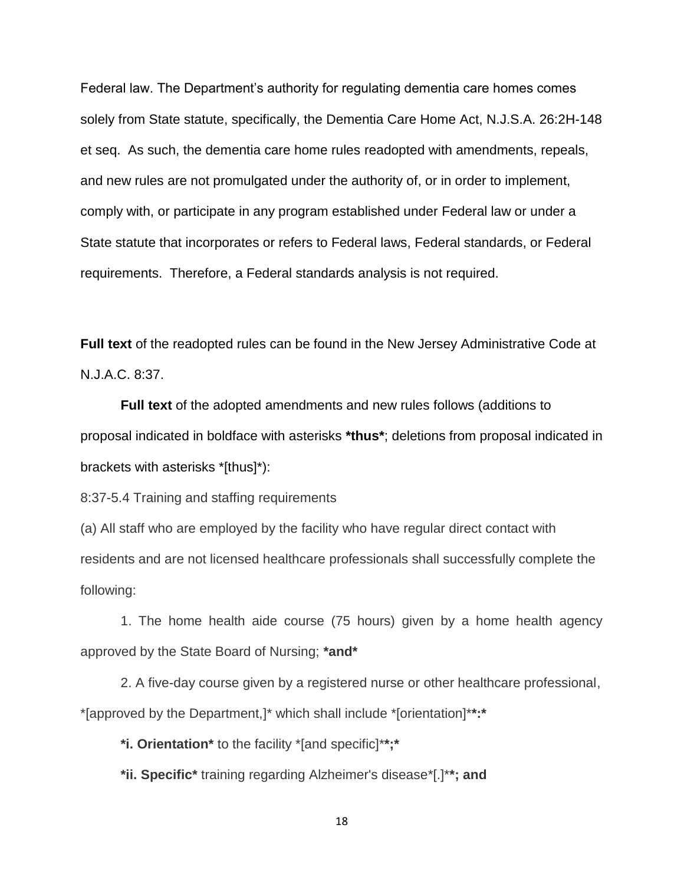Federal law. The Department's authority for regulating dementia care homes comes solely from State statute, specifically, the Dementia Care Home Act, N.J.S.A. 26:2H-148 et seq. As such, the dementia care home rules readopted with amendments, repeals, and new rules are not promulgated under the authority of, or in order to implement, comply with, or participate in any program established under Federal law or under a State statute that incorporates or refers to Federal laws, Federal standards, or Federal requirements. Therefore, a Federal standards analysis is not required.

**Full text** of the readopted rules can be found in the New Jersey Administrative Code at N.J.A.C. 8:37.

**Full text** of the adopted amendments and new rules follows (additions to proposal indicated in boldface with asterisks **\*thus\***; deletions from proposal indicated in brackets with asterisks \*[thus]\*):

8:37-5.4 Training and staffing requirements

(a) All staff who are employed by the facility who have regular direct contact with residents and are not licensed healthcare professionals shall successfully complete the following:

1. The home health aide course (75 hours) given by a home health agency approved by the State Board of Nursing; **\*and\***

2. A five-day course given by a registered nurse or other healthcare professional, \*[approved by the Department,]\* which shall include \*[orientation]\***\*:\***

**\*i. Orientation\*** to the facility \*[and specific]\***\*;\***

**\*ii. Specific\*** training regarding Alzheimer's disease\*[.]\***\*; and**